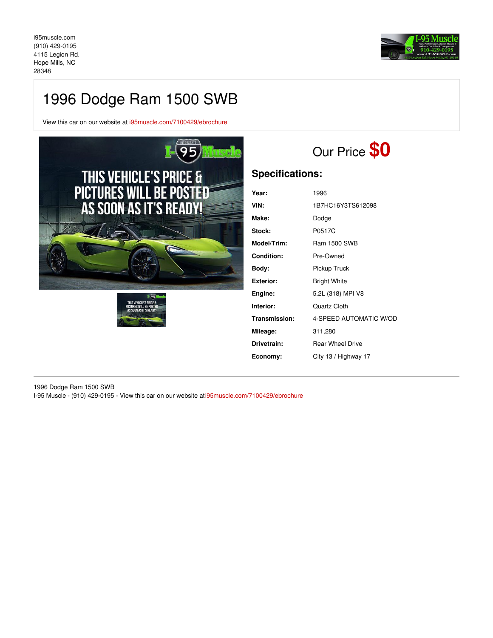

## 1996 Dodge Ram 1500 SWB

View this car on our website at [i95muscle.com/7100429/ebrochure](https://i95muscle.com/vehicle/7100429/1996-dodge-ram-1500-swb-hope-mills-nc-28348/7100429/ebrochure)





# Our Price **\$0**

### **Specifications:**

| Year:              | 1996                    |  |
|--------------------|-------------------------|--|
| VIN:               | 1B7HC16Y3TS612098       |  |
| Make:              | Dodge                   |  |
| Stock:             | P0517C                  |  |
| <b>Model/Trim:</b> | <b>Ram 1500 SWB</b>     |  |
| Condition:         | Pre-Owned               |  |
| Body:              | Pickup Truck            |  |
| Exterior:          | <b>Bright White</b>     |  |
| Engine:            | 5.2L (318) MPI V8       |  |
| Interior:          | Quartz Cloth            |  |
| Transmission:      | 4-SPEED AUTOMATIC W/OD  |  |
| Mileage:           | 311,280                 |  |
| Drivetrain:        | <b>Rear Wheel Drive</b> |  |
| Economy:           | City 13 / Highway 17    |  |
|                    |                         |  |

1996 Dodge Ram 1500 SWB I-95 Muscle - (910) 429-0195 - View this car on our website a[ti95muscle.com/7100429/ebrochure](https://i95muscle.com/vehicle/7100429/1996-dodge-ram-1500-swb-hope-mills-nc-28348/7100429/ebrochure)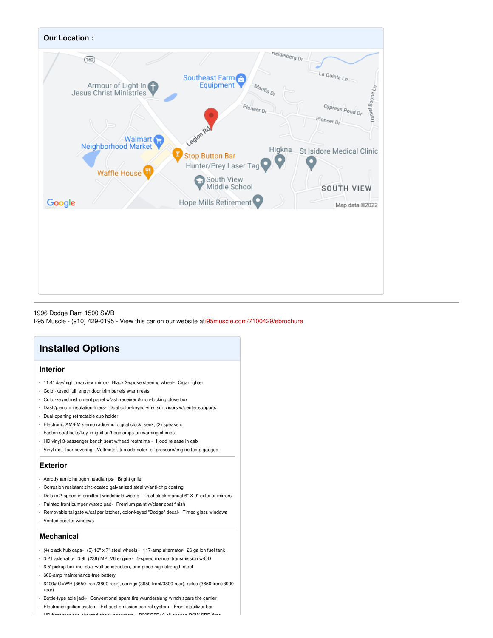

1996 Dodge Ram 1500 SWB

I-95 Muscle - (910) 429-0195 - View this car on our website a[ti95muscle.com/7100429/ebrochure](https://i95muscle.com/vehicle/7100429/1996-dodge-ram-1500-swb-hope-mills-nc-28348/7100429/ebrochure)

## **Installed Options**

### **Interior**

- 11.4" day/night rearview mirror- Black 2-spoke steering wheel- Cigar lighter
- Color-keyed full length door trim panels w/armrests
- Color-keyed instrument panel w/ash receiver & non-locking glove box
- Dash/plenum insulation liners- Dual color-keyed vinyl sun visors w/center supports
- Dual-opening retractable cup holder
- Electronic AM/FM stereo radio-inc: digital clock, seek, (2) speakers
- Fasten seat belts/key-in-ignition/headlamps-on warning chimes
- HD vinyl 3-passenger bench seat w/head restraints Hood release in cab
- Vinyl mat floor covering- Voltmeter, trip odometer, oil pressure/engine temp gauges

#### **Exterior**

- Aerodynamic halogen headlamps- Bright grille
- Corrosion resistant zinc-coated galvanized steel w/anti-chip coating
- Deluxe 2-speed intermittent windshield wipers Dual black manual 6" X 9" exterior mirrors
- Painted front bumper w/step pad- Premium paint w/clear coat finish
- Removable tailgate w/caliper latches, color-keyed "Dodge" decal- Tinted glass windows
- Vented quarter windows

#### **Mechanical**

- (4) black hub caps- (5) 16" x 7" steel wheels 117-amp alternator- 26 gallon fuel tank
- 3.21 axle ratio- 3.9L (239) MPI V6 engine 5-speed manual transmission w/OD
- 6.5' pickup box-inc: dual wall construction, one-piece high strength steel
- 600-amp maintenance-free battery
- 6400# GVWR (3650 front/3800 rear), springs (3650 front/3800 rear), axles (3650 front/3900 rear)
- Bottle-type axle jack- Conventional spare tire w/underslung winch spare tire carrier
- Electronic ignition system- Exhaust emission control system- Front stabilizer bar
- HD front/rear gas-charged shock absorbers- P225/75R16 all-season BSW SBR tires